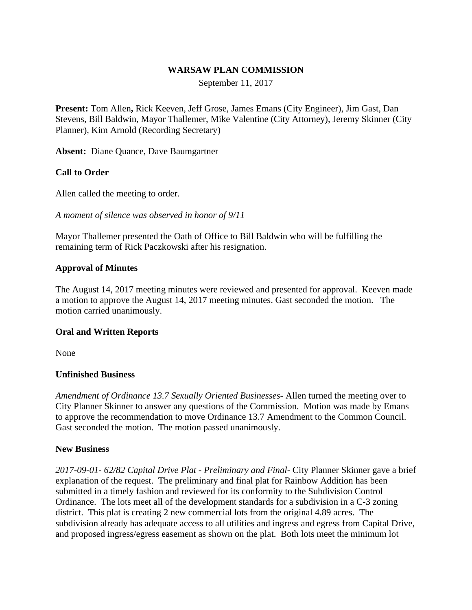#### **WARSAW PLAN COMMISSION**

September 11, 2017

**Present:** Tom Allen**,** Rick Keeven, Jeff Grose, James Emans (City Engineer), Jim Gast, Dan Stevens, Bill Baldwin, Mayor Thallemer, Mike Valentine (City Attorney), Jeremy Skinner (City Planner), Kim Arnold (Recording Secretary)

**Absent:** Diane Quance, Dave Baumgartner

### **Call to Order**

Allen called the meeting to order.

*A moment of silence was observed in honor of 9/11*

Mayor Thallemer presented the Oath of Office to Bill Baldwin who will be fulfilling the remaining term of Rick Paczkowski after his resignation.

#### **Approval of Minutes**

The August 14, 2017 meeting minutes were reviewed and presented for approval. Keeven made a motion to approve the August 14, 2017 meeting minutes. Gast seconded the motion. The motion carried unanimously.

#### **Oral and Written Reports**

None

#### **Unfinished Business**

*Amendment of Ordinance 13.7 Sexually Oriented Businesses-* Allen turned the meeting over to City Planner Skinner to answer any questions of the Commission. Motion was made by Emans to approve the recommendation to move Ordinance 13.7 Amendment to the Common Council. Gast seconded the motion. The motion passed unanimously.

#### **New Business**

*2017-09-01- 62/82 Capital Drive Plat - Preliminary and Final-* City Planner Skinner gave a brief explanation of the request. The preliminary and final plat for Rainbow Addition has been submitted in a timely fashion and reviewed for its conformity to the Subdivision Control Ordinance. The lots meet all of the development standards for a subdivision in a C-3 zoning district. This plat is creating 2 new commercial lots from the original 4.89 acres. The subdivision already has adequate access to all utilities and ingress and egress from Capital Drive, and proposed ingress/egress easement as shown on the plat. Both lots meet the minimum lot